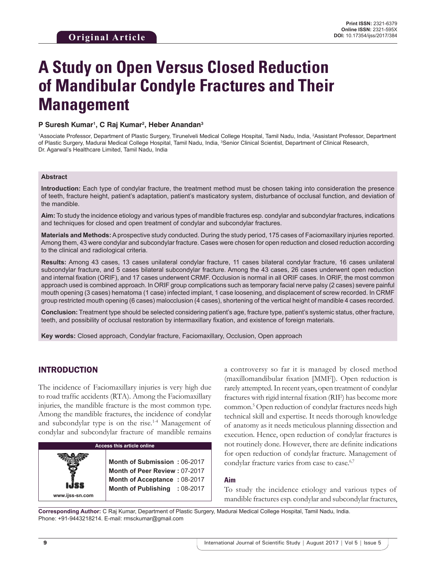# **A Study on Open Versus Closed Reduction of Mandibular Condyle Fractures and Their Management**

## **P Suresh Kumar1 , C Raj Kumar2 , Heber Anandan3**

<sup>1</sup>Associate Professor, Department of Plastic Surgery, Tirunelveli Medical College Hospital, Tamil Nadu, India, <sup>2</sup>Assistant Professor, Department of Plastic Surgery, Madurai Medical College Hospital, Tamil Nadu, India, <sup>3</sup>Senior Clinical Scientist, Department of Clinical Research, Dr. Agarwal's Healthcare Limited, Tamil Nadu, India

#### **Abstract**

**Introduction:** Each type of condylar fracture, the treatment method must be chosen taking into consideration the presence of teeth, fracture height, patient's adaptation, patient's masticatory system, disturbance of occlusal function, and deviation of the mandible.

**Aim:** To study the incidence etiology and various types of mandible fractures esp. condylar and subcondylar fractures, indications and techniques for closed and open treatment of condylar and subcondylar fractures.

**Materials and Methods:** Aprospective study conducted. During the study period, 175 cases of Faciomaxillary injuries reported. Among them, 43 were condylar and subcondylar fracture. Cases were chosen for open reduction and closed reduction according to the clinical and radiological criteria.

**Results:** Among 43 cases, 13 cases unilateral condylar fracture, 11 cases bilateral condylar fracture, 16 cases unilateral subcondylar fracture, and 5 cases bilateral subcondylar fracture. Among the 43 cases, 26 cases underwent open reduction and internal fixation (ORIF), and 17 cases underwent CRMF. Occlusion is normal in all ORIF cases. In ORIF, the most common approach used is combined approach. In ORIF group complications such as temporary facial nerve palsy (2 cases) severe painful mouth opening (3 cases) hematoma (1 case) infected implant, 1 case loosening, and displacement of screw recorded. In CRMF group restricted mouth opening (6 cases) malocclusion (4 cases), shortening of the vertical height of mandible 4 cases recorded.

**Conclusion:** Treatment type should be selected considering patient's age, fracture type, patient's systemic status, other fracture, teeth, and possibility of occlusal restoration by intermaxillary fixation, and existence of foreign materials.

**Key words:** Closed approach, Condylar fracture, Faciomaxillary, Occlusion, Open approach

## INTRODUCTION

The incidence of Faciomaxillary injuries is very high due to road traffic accidents (RTA). Among the Faciomaxillary injuries, the mandible fracture is the most common type. Among the mandible fractures, the incidence of condylar and subcondylar type is on the rise.<sup>1-4</sup> Management of condylar and subcondylar fracture of mandible remains



a controversy so far it is managed by closed method (maxillomandibular fixation [MMF]). Open reduction is rarely attempted. In recent years, open treatment of condylar fractures with rigid internal fixation (RIF) has become more common.<sup>5</sup> Open reduction of condylar fractures needs high technical skill and expertise. It needs thorough knowledge of anatomy as it needs meticulous planning dissection and execution. Hence, open reduction of condylar fractures is not routinely done. However, there are definite indications for open reduction of condylar fracture. Management of condylar fracture varies from case to case.<sup>6,7</sup>

#### **Aim**

To study the incidence etiology and various types of mandible fractures esp. condylar and subcondylar fractures,

**Corresponding Author:** C Raj Kumar, Department of Plastic Surgery, Madurai Medical College Hospital, Tamil Nadu, India. Phone: +91-9443218214. E-mail: rmsckumar@gmail.com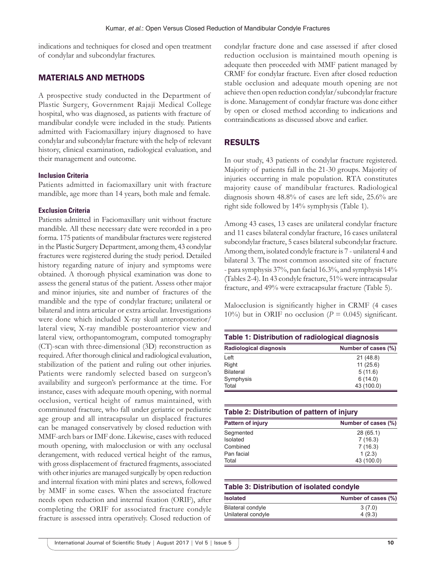indications and techniques for closed and open treatment of condylar and subcondylar fractures.

# MATERIALS AND METHODS

A prospective study conducted in the Department of Plastic Surgery, Government Rajaji Medical College hospital, who was diagnosed, as patients with fracture of mandibular condyle were included in the study. Patients admitted with Faciomaxillary injury diagnosed to have condylar and subcondylar fracture with the help of relevant history, clinical examination, radiological evaluation, and their management and outcome.

## **Inclusion Criteria**

Patients admitted in faciomaxillary unit with fracture mandible, age more than 14 years, both male and female.

## **Exclusion Criteria**

Patients admitted in Faciomaxillary unit without fracture mandible. All these necessary date were recorded in a pro forma. 175 patients of mandibular fractures were registered in the Plastic Surgery Department, among them, 43 condylar fractures were registered during the study period. Detailed history regarding nature of injury and symptoms were obtained. A thorough physical examination was done to assess the general status of the patient. Assess other major and minor injuries, site and number of fractures of the mandible and the type of condylar fracture; unilateral or bilateral and intra articular or extra articular. Investigations were done which included X-ray skull anteroposterior/ lateral view, X-ray mandible posteroanterior view and lateral view, orthopantomogram, computed tomography (CT)-scan with three-dimensional (3D) reconstruction as required. After thorough clinical and radiological evaluation, stabilization of the patient and ruling out other injuries. Patients were randomly selected based on surgeon's availability and surgeon's performance at the time. For instance, cases with adequate mouth opening, with normal occlusion, vertical height of ramus maintained, with comminuted fracture, who fall under geriatric or pediatric age group and all intracapsular un displaced fractures can be managed conservatively by closed reduction with MMF-arch bars or IMF done. Likewise, cases with reduced mouth opening, with malocclusion or with any occlusal derangement, with reduced vertical height of the ramus, with gross displacement of fractured fragments, associated with other injuries are managed surgically by open reduction and internal fixation with mini plates and screws, followed by MMF in some cases. When the associated fracture needs open reduction and internal fixation (ORIF), after completing the ORIF for associated fracture condyle fracture is assessed intra operatively. Closed reduction of condylar fracture done and case assessed if after closed reduction occlusion is maintained mouth opening is adequate then proceeded with MMF patient managed by CRMF for condylar fracture. Even after closed reduction stable occlusion and adequate mouth opening are not achieve then open reduction condylar/subcondylar fracture is done. Management of condylar fracture was done either by open or closed method according to indications and contraindications as discussed above and earlier.

# RESULTS

In our study, 43 patients of condylar fracture registered. Majority of patients fall in the 21-30 groups. Majority of injuries occurring in male population. RTA constitutes majority cause of mandibular fractures. Radiological diagnosis shown 48.8% of cases are left side, 25.6% are right side followed by 14% symphysis (Table 1).

Among 43 cases, 13 cases are unilateral condylar fracture and 11 cases bilateral condylar fracture, 16 cases unilateral subcondylar fracture, 5 cases bilateral subcondylar fracture. Among them, isolated condyle fracture is 7 - unilateral 4 and bilateral 3. The most common associated site of fracture - para symphysis 37%, pan facial 16.3%, and symphysis 14% (Tables 2-4). In 43 condyle fracture, 51% were intracapsular fracture, and 49% were extracapsular fracture (Table 5).

Malocclusion is significantly higher in CRMF (4 cases 10%) but in ORIF no occlusion ( $P = 0.045$ ) significant.

| Table 1: Distribution of radiological diagnosis      |            |
|------------------------------------------------------|------------|
| Number of cases (%)<br><b>Radiological diagnosis</b> |            |
| Left                                                 | 21(48.8)   |
| Right                                                | 11(25.6)   |
| <b>Bilateral</b>                                     | 5(11.6)    |
| Symphysis                                            | 6(14.0)    |
| Total                                                | 43 (100.0) |

| Table 2: Distribution of pattern of injury |                     |
|--------------------------------------------|---------------------|
| Pattern of injury                          | Number of cases (%) |
| Segmented                                  | 28(65.1)            |
| Isolated                                   | 7(16.3)             |
| Combined                                   | 7(16.3)             |
| Pan facial                                 | 1(2.3)              |
| Total                                      | 43 (100.0)          |

| Table 3: Distribution of isolated condyle |                     |
|-------------------------------------------|---------------------|
| <b>Isolated</b>                           | Number of cases (%) |
| Bilateral condyle                         | 3(7.0)              |
| Unilateral condyle                        | 4(9.3)              |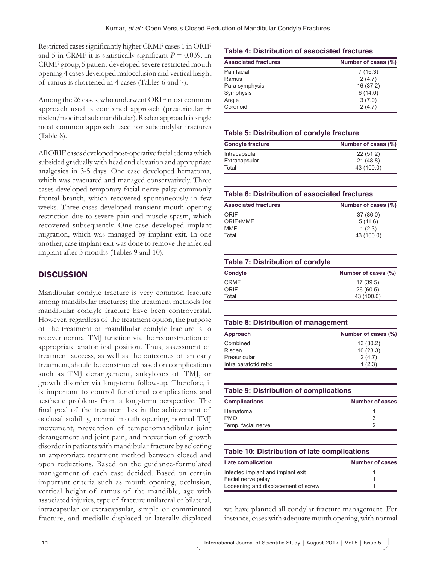Restricted cases significantly higher CRMF cases 1 in ORIF and 5 in CRMF it is statistically significant  $P = 0.039$ . In CRMF group, 5 patient developed severe restricted mouth opening 4 cases developed malocclusion and vertical height of ramus is shortened in 4 cases (Tables 6 and 7).

Among the 26 cases, who underwent ORIF most common approach used is combined approach (preauricular + risden/modified sub mandibular). Risden approach is single most common approach used for subcondylar fractures (Table 8).

All ORIF cases developed post-operative facial edema which subsided gradually with head end elevation and appropriate analgesics in 3-5 days. One case developed hematoma, which was evacuated and managed conservatively. Three cases developed temporary facial nerve palsy commonly frontal branch, which recovered spontaneously in few weeks. Three cases developed transient mouth opening restriction due to severe pain and muscle spasm, which recovered subsequently. One case developed implant migration, which was managed by implant exit. In one another, case implant exit was done to remove the infected implant after 3 months (Tables 9 and 10).

# **DISCUSSION**

Mandibular condyle fracture is very common fracture among mandibular fractures; the treatment methods for mandibular condyle fracture have been controversial. However, regardless of the treatment option, the purpose of the treatment of mandibular condyle fracture is to recover normal TMJ function via the reconstruction of appropriate anatomical position. Thus, assessment of treatment success, as well as the outcomes of an early treatment, should be constructed based on complications such as TMJ derangement, ankyloses of TMJ, or growth disorder via long-term follow-up. Therefore, it is important to control functional complications and aesthetic problems from a long-term perspective. The final goal of the treatment lies in the achievement of occlusal stability, normal mouth opening, normal TMJ movement, prevention of temporomandibular joint derangement and joint pain, and prevention of growth disorder in patients with mandibular fracture by selecting an appropriate treatment method between closed and open reductions. Based on the guidance-formulated management of each case decided. Based on certain important criteria such as mouth opening, occlusion, vertical height of ramus of the mandible, age with associated injuries, type of fracture unilateral or bilateral, intracapsular or extracapsular, simple or comminuted fracture, and medially displaced or laterally displaced

#### **Table 4: Distribution of associated fractures Associated fractures Number of cases (%)** Pan facial 7 (16.3) Ramus  $2(4.7)$ Para symphysis 16 (37.2) Symphysis 6 (14.0) Angle 3 (7.0) Coronoid 2 (4.7)

## **Table 5: Distribution of condyle fracture**

| <b>Condyle fracture</b> | Number of cases (%) |
|-------------------------|---------------------|
| Intracapsular           | 22(51.2)            |
| Extracapsular           | 21(48.8)            |
| Total                   | 43 (100.0)          |

| Table 6: Distribution of associated fractures |                     |
|-----------------------------------------------|---------------------|
| <b>Associated fractures</b>                   | Number of cases (%) |
| ORIF                                          | 37 (86.0)           |
| ORIF+MMF                                      | 5(11.6)             |
| MMF                                           | 1(2.3)              |
| Total                                         | 43 (100.0)          |

## **Table 7: Distribution of condyle**

| Condyle     | Number of cases (%) |
|-------------|---------------------|
| <b>CRMF</b> | 17(39.5)            |
| ORIF        | 26(60.5)            |
| Total       | 43 (100.0)          |

## **Table 8: Distribution of management**

| Approach              | Number of cases (%) |
|-----------------------|---------------------|
| Combined              | 13(30.2)            |
| Risden                | 10(23.3)            |
| Preauricular          | 2(4.7)              |
| Intra paratotid retro | 1(2.3)              |

| <b>Table 9: Distribution of complications</b> |                        |
|-----------------------------------------------|------------------------|
| <b>Complications</b>                          | <b>Number of cases</b> |
| Hematoma                                      |                        |
| <b>PMO</b>                                    | 3                      |
| Temp, facial nerve                            |                        |

## **Table 10: Distribution of late complications**

| Late complication                   | <b>Number of cases</b> |
|-------------------------------------|------------------------|
| Infected implant and implant exit   |                        |
| Facial nerve palsy                  |                        |
| Loosening and displacement of screw |                        |

we have planned all condylar fracture management. For instance, cases with adequate mouth opening, with normal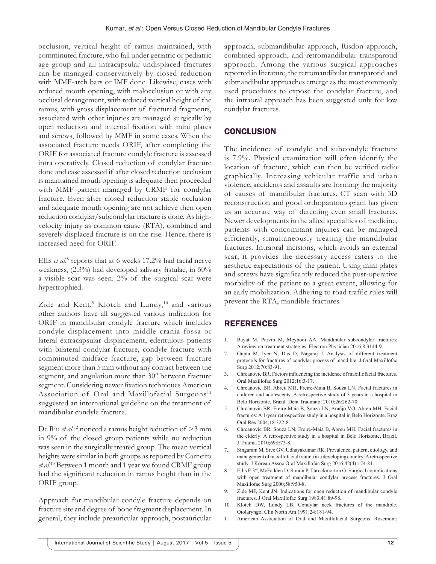occlusion, vertical height of ramus maintained, with comminuted fracture, who fall under geriatric or pediatric age group and all intracapsular undisplaced fractures can be managed conservatively by closed reduction with MMF-arch bars or IMF done. Likewise, cases with reduced mouth opening, with malocclusion or with any occlusal derangement, with reduced vertical height of the ramus, with gross displacement of fractured fragments, associated with other injuries are managed surgically by open reduction and internal fixation with mini plates and screws, followed by MMF in some cases. When the associated fracture needs ORIF, after completing the ORIF for associated fracture condyle fracture is assessed intra operatively. Closed reduction of condylar fracture done and case assessed if after closed reduction occlusion is maintained mouth opening is adequate then proceeded with MMF patient managed by CRMF for condylar fracture. Even after closed reduction stable occlusion and adequate mouth opening are not achieve then open reduction condylar/subcondylar fracture is done. As highvelocity injury as common cause (RTA), combined and severely displaced fracture is on the rise. Hence, there is increased need for ORIF.

Ellis *et al.*<sup>8</sup> reports that at 6 weeks 17.2% had facial nerve weakness, (2.3%) had developed salivary fistulae, in 50% a visible scar was seen. 2% of the surgical scar were hypertrophied.

Zide and Kent,<sup>9</sup> Klotch and Lundy,<sup>10</sup> and various other authors have all suggested various indication for ORIF in mandibular condyle fracture which includes condyle displacement into middle crania fossa or lateral extracapsular displacement, edentulous patients with bilateral condylar fracture, condyle fracture with comminuted midface fracture, gap between fracture segment more than 5 mm without any contact between the segment, and angulation more than 30° between fracture segment. Considering newer fixation techniques American Association of Oral and Maxillofacial Surgeons<sup>11</sup> suggested an international guideline on the treatment of mandibular condyle fracture.

De Riu *et al*. 12 noticed a ramus height reduction of >3 mm in 9% of the closed group patients while no reduction was seen in the surgically treated group. The mean vertical heights were similar in both groups as reported by Carneiro *et al*. 13 Between 1 month and 1 year we found CRMF group had the significant reduction in ramus height than in the ORIF group.

Approach for mandibular condyle fracture depends on fracture site and degree of bone fragment displacement. In general, they include preauricular approach, postauricular approach, submandibular approach, Risdon approach, combined approach, and retromandibular transparotid approach. Among the various surgical approaches reported in literature, the retromandibular transparotid and submandibular approaches emerge as the most commonly used procedures to expose the condylar fracture, and the intraoral approach has been suggested only for low condylar fractures.

# **CONCLUSION**

The incidence of condyle and subcondyle fracture is 7.9%. Physical examination will often identify the location of fracture, which can then be verified radio graphically. Increasing vehicular traffic and urban violence, accidents and assaults are forming the majority of causes of mandibular fractures. CT scan with 3D reconstruction and good orthopantomogram has given us an accurate way of detecting even small fractures. Newer developments in the allied specialties of medicine, patients with concomitant injuries can be managed efficiently, simultaneously treating the mandibular fractures. Intraoral incisions, which avoids an external scar, it provides the necessary access caters to the aesthetic expectations of the patient. Using mini plates and screws have significantly reduced the post-operative morbidity of the patient to a great extent, allowing for an early mobilization. Adhering to road traffic rules will prevent the RTA, mandible fractures.

# REFERENCES

- 1. Bayat M, Parvin M, Meybodi AA. Mandibular subcondylar fractures: A review on treatment strategies. Electron Physician 2016;8:3144-9.
- 2. Gupta M, Iyer N, Das D, Nagaraj J. Analysis of different treatment protocols for fractures of condylar process of mandible. J Oral Maxillofac Surg 2012;70:83-91.
- 3. Chrcanovic BR. Factors influencing the incidence of maxillofacial fractures. Oral Maxillofac Surg 2012;16:3-17.
- 4. Chrcanovic BR, Abreu MH, Freire-Maia B, Souza LN. Facial fractures in children and adolescents: A retrospective study of 3 years in a hospital in Belo Horizonte, Brazil. Dent Traumatol 2010;26:262-70.
- 5. Chrcanovic BR, Freire-Maia B, Souza LN, Araújo VO, Abreu MH. Facial fractures: A 1-year retrospective study in a hospital in Belo Horizonte. Braz Oral Res 2004;18:322-8.
- 6. Chrcanovic BR, Souza LN, Freire-Maia B, Abreu MH. Facial fractures in the elderly: A retrospective study in a hospital in Belo Horizonte, Brazil. J Trauma 2010;69:E73-8.
- 7. Singaram M, Sree GV, Udhayakumar RK. Prevalence, pattern, etiology, and management of maxillofacial trauma in a developing country: Aretrospective study. J Korean Assoc Oral Maxillofac Surg 2016;42(4):174-81.
- 8. Ellis E 3<sup>rd</sup>, McFadden D, Simon P, Throckmorton G. Surgical complications with open treatment of mandibular condylar process fractures. J Oral Maxillofac Surg 2000;58:950-8.
- 9. Zide MF, Kent JN. Indications for open reduction of mandibular condyle fractures. J Oral Maxillofac Surg 1983;41:89-98.
- 10. Klotch DW, Lundy LB. Condylar neck fractures of the mandible. Otolaryngol Clin North Am 1991;24:181-94.
- 11. American Association of Oral and Maxillofacial Surgeons. Rosemont: